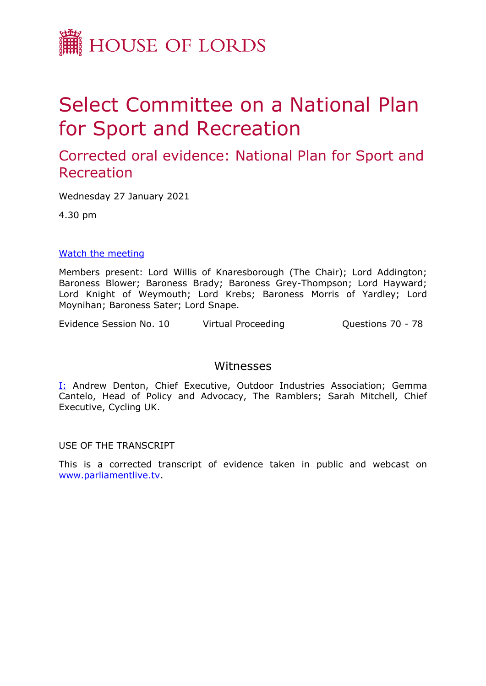

## Select Committee on a National Plan for Sport and Recreation

Corrected oral evidence: National Plan for Sport and Recreation

Wednesday 27 January 2021

4.30 pm

## [Watch](https://parliamentlive.tv/Event/Index/3232e809-4a45-4356-9389-a909f46a7d1a) [the](https://parliamentlive.tv/Event/Index/3232e809-4a45-4356-9389-a909f46a7d1a) [meeting](https://parliamentlive.tv/Event/Index/3232e809-4a45-4356-9389-a909f46a7d1a)

Members present: Lord Willis of Knaresborough (The Chair); Lord Addington; Baroness Blower; Baroness Brady; Baroness Grey-Thompson; Lord Hayward; Lord Knight of Weymouth; Lord Krebs; Baroness Morris of Yardley; Lord Moynihan; Baroness Sater; Lord Snape.

Evidence Session No. 10 Virtual Proceeding Cuestions 70 - 78

## Witnesses

I: Andrew Denton, Chief Executive, Outdoor Industries Association; Gemma Cantelo, Head of Policy and Advocacy, The Ramblers; Sarah Mitchell, Chief Executive, Cycling UK.

USE OF THE TRANSCRIPT

This is a corrected transcript of evidence taken in public and webcast on [www.parliamentlive.tv](http://www.parliamentlive.tv/).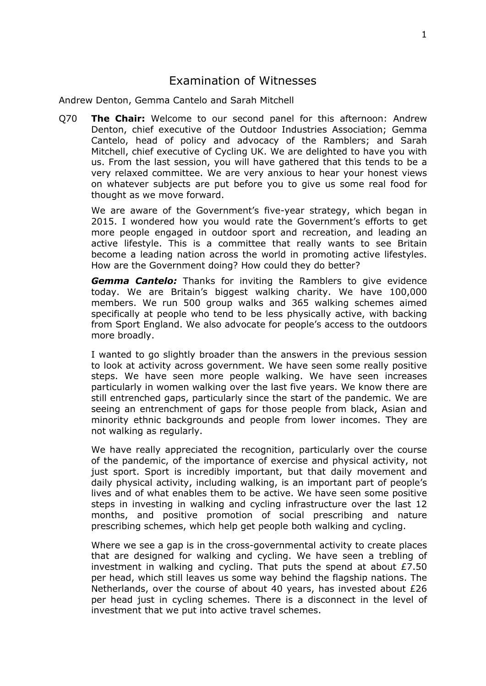## Examination of Witnesses

Andrew Denton, Gemma Cantelo and Sarah Mitchell

Q70 **The Chair:** Welcome to our second panel for this afternoon: Andrew Denton, chief executive of the Outdoor Industries Association; Gemma Cantelo, head of policy and advocacy of the Ramblers; and Sarah Mitchell, chief executive of Cycling UK. We are delighted to have you with us. From the last session, you will have gathered that this tends to be a very relaxed committee. We are very anxious to hear your honest views on whatever subjects are put before you to give us some real food for thought as we move forward.

We are aware of the Government's five-year strategy, which began in 2015. I wondered how you would rate the Government's efforts to get more people engaged in outdoor sport and recreation, and leading an active lifestyle. This is a committee that really wants to see Britain become a leading nation across the world in promoting active lifestyles. How are the Government doing? How could they do better?

*Gemma Cantelo:* Thanks for inviting the Ramblers to give evidence today. We are Britain's biggest walking charity. We have 100,000 members. We run 500 group walks and 365 walking schemes aimed specifically at people who tend to be less physically active, with backing from Sport England. We also advocate for people's access to the outdoors more broadly.

I wanted to go slightly broader than the answers in the previous session to look at activity across government. We have seen some really positive steps. We have seen more people walking. We have seen increases particularly in women walking over the last five years. We know there are still entrenched gaps, particularly since the start of the pandemic. We are seeing an entrenchment of gaps for those people from black, Asian and minority ethnic backgrounds and people from lower incomes. They are not walking as regularly.

We have really appreciated the recognition, particularly over the course of the pandemic, of the importance of exercise and physical activity, not just sport. Sport is incredibly important, but that daily movement and daily physical activity, including walking, is an important part of people's lives and of what enables them to be active. We have seen some positive steps in investing in walking and cycling infrastructure over the last 12 months, and positive promotion of social prescribing and nature prescribing schemes, which help get people both walking and cycling.

Where we see a gap is in the cross-governmental activity to create places that are designed for walking and cycling. We have seen a trebling of investment in walking and cycling. That puts the spend at about £7.50 per head, which still leaves us some way behind the flagship nations. The Netherlands, over the course of about 40 years, has invested about £26 per head just in cycling schemes. There is a disconnect in the level of investment that we put into active travel schemes.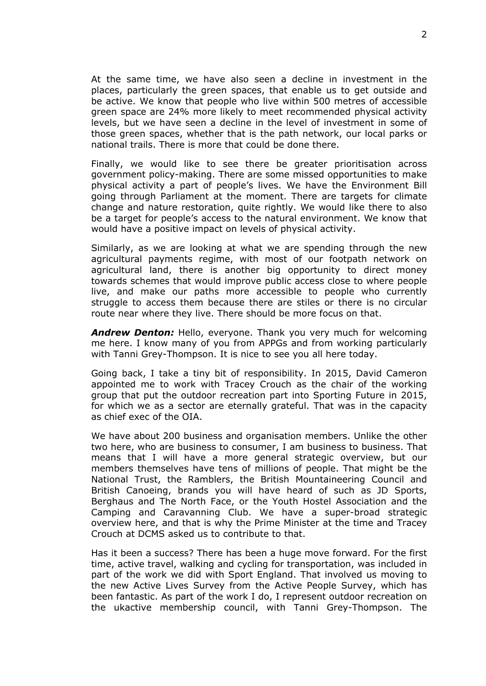At the same time, we have also seen a decline in investment in the places, particularly the green spaces, that enable us to get outside and be active. We know that people who live within 500 metres of accessible green space are 24% more likely to meet recommended physical activity levels, but we have seen a decline in the level of investment in some of those green spaces, whether that is the path network, our local parks or national trails. There is more that could be done there.

Finally, we would like to see there be greater prioritisation across government policy-making. There are some missed opportunities to make physical activity a part of people's lives. We have the Environment Bill going through Parliament at the moment. There are targets for climate change and nature restoration, quite rightly. We would like there to also be a target for people's access to the natural environment. We know that would have a positive impact on levels of physical activity.

Similarly, as we are looking at what we are spending through the new agricultural payments regime, with most of our footpath network on agricultural land, there is another big opportunity to direct money towards schemes that would improve public access close to where people live, and make our paths more accessible to people who currently struggle to access them because there are stiles or there is no circular route near where they live. There should be more focus on that.

*Andrew Denton:* Hello, everyone. Thank you very much for welcoming me here. I know many of you from APPGs and from working particularly with Tanni Grey-Thompson. It is nice to see you all here today.

Going back, I take a tiny bit of responsibility. In 2015, David Cameron appointed me to work with Tracey Crouch as the chair of the working group that put the outdoor recreation part into Sporting Future in 2015, for which we as a sector are eternally grateful. That was in the capacity as chief exec of the OIA.

We have about 200 business and organisation members. Unlike the other two here, who are business to consumer, I am business to business. That means that I will have a more general strategic overview, but our members themselves have tens of millions of people. That might be the National Trust, the Ramblers, the British Mountaineering Council and British Canoeing, brands you will have heard of such as JD Sports, Berghaus and The North Face, or the Youth Hostel Association and the Camping and Caravanning Club. We have a super-broad strategic overview here, and that is why the Prime Minister at the time and Tracey Crouch at DCMS asked us to contribute to that.

Has it been a success? There has been a huge move forward. For the first time, active travel, walking and cycling for transportation, was included in part of the work we did with Sport England. That involved us moving to the new Active Lives Survey from the Active People Survey, which has been fantastic. As part of the work I do, I represent outdoor recreation on the ukactive membership council, with Tanni Grey-Thompson. The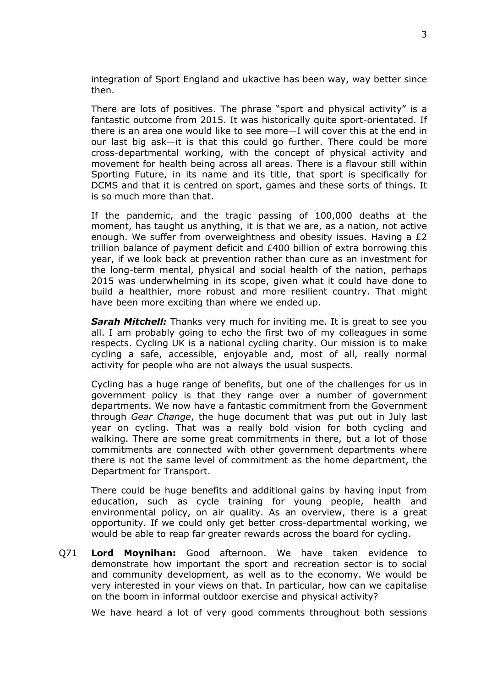integration of Sport England and ukactive has been way, way better since then.

There are lots of positives. The phrase "sport and physical activity" is a fantastic outcome from 2015. It was historically quite sport-orientated. If there is an area one would like to see more—I will cover this at the end in our last big ask—it is that this could go further. There could be more cross-departmental working, with the concept of physical activity and movement for health being across all areas. There is a flavour still within Sporting Future, in its name and its title, that sport is specifically for DCMS and that it is centred on sport, games and these sorts of things. It is so much more than that.

If the pandemic, and the tragic passing of 100,000 deaths at the moment, has taught us anything, it is that we are, as a nation, not active enough. We suffer from overweightness and obesity issues. Having a £2 trillion balance of payment deficit and £400 billion of extra borrowing this year, if we look back at prevention rather than cure as an investment for the long-term mental, physical and social health of the nation, perhaps 2015 was underwhelming in its scope, given what it could have done to build a healthier, more robust and more resilient country. That might have been more exciting than where we ended up.

*Sarah Mitchell:* Thanks very much for inviting me. It is great to see you all. I am probably going to echo the first two of my colleagues in some respects. Cycling UK is a national cycling charity. Our mission is to make cycling a safe, accessible, enjoyable and, most of all, really normal activity for people who are not always the usual suspects.

Cycling has a huge range of benefits, but one of the challenges for us in government policy is that they range over a number of government departments. We now have a fantastic commitment from the Government through *Gear Change*, the huge document that was put out in July last year on cycling. That was a really bold vision for both cycling and walking. There are some great commitments in there, but a lot of those commitments are connected with other government departments where there is not the same level of commitment as the home department, the Department for Transport.

There could be huge benefits and additional gains by having input from education, such as cycle training for young people, health and environmental policy, on air quality. As an overview, there is a great opportunity. If we could only get better cross-departmental working, we would be able to reap far greater rewards across the board for cycling.

Q71 **Lord Moynihan:** Good afternoon. We have taken evidence to demonstrate how important the sport and recreation sector is to social and community development, as well as to the economy. We would be very interested in your views on that. In particular, how can we capitalise on the boom in informal outdoor exercise and physical activity?

We have heard a lot of very good comments throughout both sessions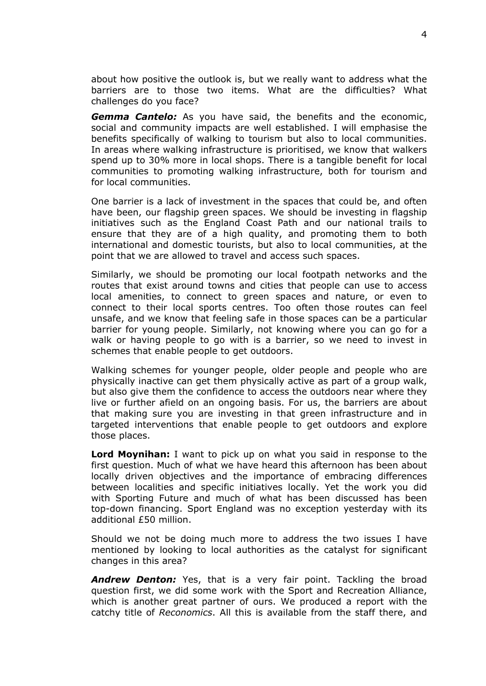about how positive the outlook is, but we really want to address what the barriers are to those two items. What are the difficulties? What challenges do you face?

*Gemma Cantelo:* As you have said, the benefits and the economic, social and community impacts are well established. I will emphasise the benefits specifically of walking to tourism but also to local communities. In areas where walking infrastructure is prioritised, we know that walkers spend up to 30% more in local shops. There is a tangible benefit for local communities to promoting walking infrastructure, both for tourism and for local communities.

One barrier is a lack of investment in the spaces that could be, and often have been, our flagship green spaces. We should be investing in flagship initiatives such as the England Coast Path and our national trails to ensure that they are of a high quality, and promoting them to both international and domestic tourists, but also to local communities, at the point that we are allowed to travel and access such spaces.

Similarly, we should be promoting our local footpath networks and the routes that exist around towns and cities that people can use to access local amenities, to connect to green spaces and nature, or even to connect to their local sports centres. Too often those routes can feel unsafe, and we know that feeling safe in those spaces can be a particular barrier for young people. Similarly, not knowing where you can go for a walk or having people to go with is a barrier, so we need to invest in schemes that enable people to get outdoors.

Walking schemes for younger people, older people and people who are physically inactive can get them physically active as part of a group walk, but also give them the confidence to access the outdoors near where they live or further afield on an ongoing basis. For us, the barriers are about that making sure you are investing in that green infrastructure and in targeted interventions that enable people to get outdoors and explore those places.

**Lord Moynihan:** I want to pick up on what you said in response to the first question. Much of what we have heard this afternoon has been about locally driven objectives and the importance of embracing differences between localities and specific initiatives locally. Yet the work you did with Sporting Future and much of what has been discussed has been top-down financing. Sport England was no exception yesterday with its additional £50 million.

Should we not be doing much more to address the two issues I have mentioned by looking to local authorities as the catalyst for significant changes in this area?

**Andrew Denton:** Yes, that is a very fair point. Tackling the broad question first, we did some work with the Sport and Recreation Alliance, which is another great partner of ours. We produced a report with the catchy title of *Reconomics*. All this is available from the staff there, and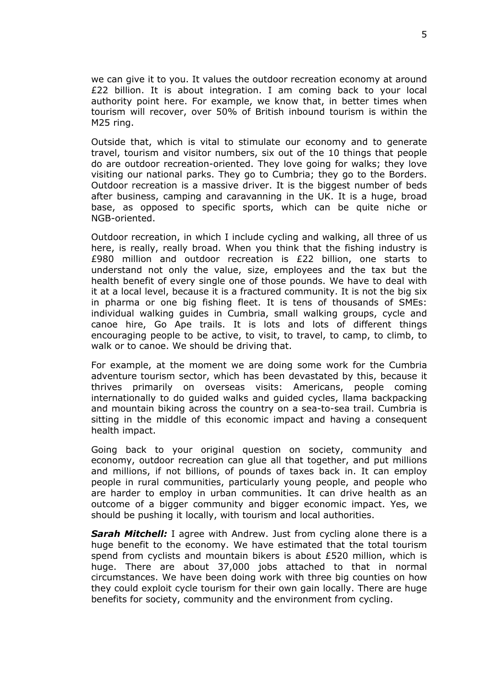we can give it to you. It values the outdoor recreation economy at around £22 billion. It is about integration. I am coming back to your local authority point here. For example, we know that, in better times when tourism will recover, over 50% of British inbound tourism is within the M25 ring.

Outside that, which is vital to stimulate our economy and to generate travel, tourism and visitor numbers, six out of the 10 things that people do are outdoor recreation-oriented. They love going for walks; they love visiting our national parks. They go to Cumbria; they go to the Borders. Outdoor recreation is a massive driver. It is the biggest number of beds after business, camping and caravanning in the UK. It is a huge, broad base, as opposed to specific sports, which can be quite niche or NGB-oriented.

Outdoor recreation, in which I include cycling and walking, all three of us here, is really, really broad. When you think that the fishing industry is £980 million and outdoor recreation is £22 billion, one starts to understand not only the value, size, employees and the tax but the health benefit of every single one of those pounds. We have to deal with it at a local level, because it is a fractured community. It is not the big six in pharma or one big fishing fleet. It is tens of thousands of SMEs: individual walking guides in Cumbria, small walking groups, cycle and canoe hire, Go Ape trails. It is lots and lots of different things encouraging people to be active, to visit, to travel, to camp, to climb, to walk or to canoe. We should be driving that.

For example, at the moment we are doing some work for the Cumbria adventure tourism sector, which has been devastated by this, because it thrives primarily on overseas visits: Americans, people coming internationally to do guided walks and guided cycles, llama backpacking and mountain biking across the country on a sea-to-sea trail. Cumbria is sitting in the middle of this economic impact and having a consequent health impact.

Going back to your original question on society, community and economy, outdoor recreation can glue all that together, and put millions and millions, if not billions, of pounds of taxes back in. It can employ people in rural communities, particularly young people, and people who are harder to employ in urban communities. It can drive health as an outcome of a bigger community and bigger economic impact. Yes, we should be pushing it locally, with tourism and local authorities.

*Sarah Mitchell:* I agree with Andrew. Just from cycling alone there is a huge benefit to the economy. We have estimated that the total tourism spend from cyclists and mountain bikers is about £520 million, which is huge. There are about 37,000 jobs attached to that in normal circumstances. We have been doing work with three big counties on how they could exploit cycle tourism for their own gain locally. There are huge benefits for society, community and the environment from cycling.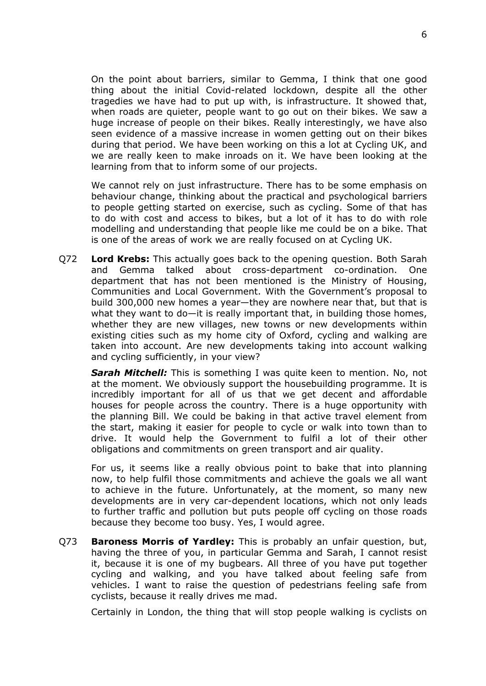On the point about barriers, similar to Gemma, I think that one good thing about the initial Covid-related lockdown, despite all the other tragedies we have had to put up with, is infrastructure. It showed that, when roads are quieter, people want to go out on their bikes. We saw a huge increase of people on their bikes. Really interestingly, we have also seen evidence of a massive increase in women getting out on their bikes during that period. We have been working on this a lot at Cycling UK, and we are really keen to make inroads on it. We have been looking at the learning from that to inform some of our projects.

We cannot rely on just infrastructure. There has to be some emphasis on behaviour change, thinking about the practical and psychological barriers to people getting started on exercise, such as cycling. Some of that has to do with cost and access to bikes, but a lot of it has to do with role modelling and understanding that people like me could be on a bike. That is one of the areas of work we are really focused on at Cycling UK.

Q72 **Lord Krebs:** This actually goes back to the opening question. Both Sarah and Gemma talked about cross-department co-ordination. One department that has not been mentioned is the Ministry of Housing, Communities and Local Government. With the Government's proposal to build 300,000 new homes a year—they are nowhere near that, but that is what they want to do—it is really important that, in building those homes, whether they are new villages, new towns or new developments within existing cities such as my home city of Oxford, cycling and walking are taken into account. Are new developments taking into account walking and cycling sufficiently, in your view?

*Sarah Mitchell:* This is something I was quite keen to mention. No, not at the moment. We obviously support the housebuilding programme. It is incredibly important for all of us that we get decent and affordable houses for people across the country. There is a huge opportunity with the planning Bill. We could be baking in that active travel element from the start, making it easier for people to cycle or walk into town than to drive. It would help the Government to fulfil a lot of their other obligations and commitments on green transport and air quality.

For us, it seems like a really obvious point to bake that into planning now, to help fulfil those commitments and achieve the goals we all want to achieve in the future. Unfortunately, at the moment, so many new developments are in very car-dependent locations, which not only leads to further traffic and pollution but puts people off cycling on those roads because they become too busy. Yes, I would agree.

Q73 **Baroness Morris of Yardley:** This is probably an unfair question, but, having the three of you, in particular Gemma and Sarah, I cannot resist it, because it is one of my bugbears. All three of you have put together cycling and walking, and you have talked about feeling safe from vehicles. I want to raise the question of pedestrians feeling safe from cyclists, because it really drives me mad.

Certainly in London, the thing that will stop people walking is cyclists on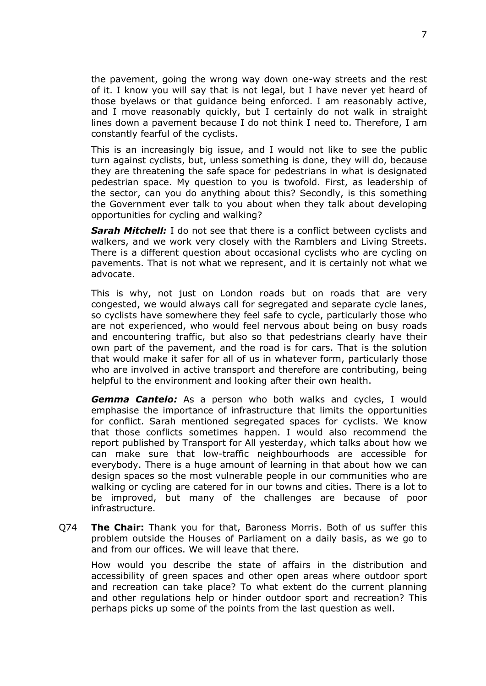the pavement, going the wrong way down one-way streets and the rest of it. I know you will say that is not legal, but I have never yet heard of those byelaws or that guidance being enforced. I am reasonably active, and I move reasonably quickly, but I certainly do not walk in straight lines down a pavement because I do not think I need to. Therefore, I am constantly fearful of the cyclists.

This is an increasingly big issue, and I would not like to see the public turn against cyclists, but, unless something is done, they will do, because they are threatening the safe space for pedestrians in what is designated pedestrian space. My question to you is twofold. First, as leadership of the sector, can you do anything about this? Secondly, is this something the Government ever talk to you about when they talk about developing opportunities for cycling and walking?

*Sarah Mitchell:* I do not see that there is a conflict between cyclists and walkers, and we work very closely with the Ramblers and Living Streets. There is a different question about occasional cyclists who are cycling on pavements. That is not what we represent, and it is certainly not what we advocate.

This is why, not just on London roads but on roads that are very congested, we would always call for segregated and separate cycle lanes, so cyclists have somewhere they feel safe to cycle, particularly those who are not experienced, who would feel nervous about being on busy roads and encountering traffic, but also so that pedestrians clearly have their own part of the pavement, and the road is for cars. That is the solution that would make it safer for all of us in whatever form, particularly those who are involved in active transport and therefore are contributing, being helpful to the environment and looking after their own health.

*Gemma Cantelo:* As a person who both walks and cycles, I would emphasise the importance of infrastructure that limits the opportunities for conflict. Sarah mentioned segregated spaces for cyclists. We know that those conflicts sometimes happen. I would also recommend the report published by Transport for All yesterday, which talks about how we can make sure that low-traffic neighbourhoods are accessible for everybody. There is a huge amount of learning in that about how we can design spaces so the most vulnerable people in our communities who are walking or cycling are catered for in our towns and cities. There is a lot to be improved, but many of the challenges are because of poor infrastructure.

Q74 **The Chair:** Thank you for that, Baroness Morris. Both of us suffer this problem outside the Houses of Parliament on a daily basis, as we go to and from our offices. We will leave that there.

How would you describe the state of affairs in the distribution and accessibility of green spaces and other open areas where outdoor sport and recreation can take place? To what extent do the current planning and other regulations help or hinder outdoor sport and recreation? This perhaps picks up some of the points from the last question as well.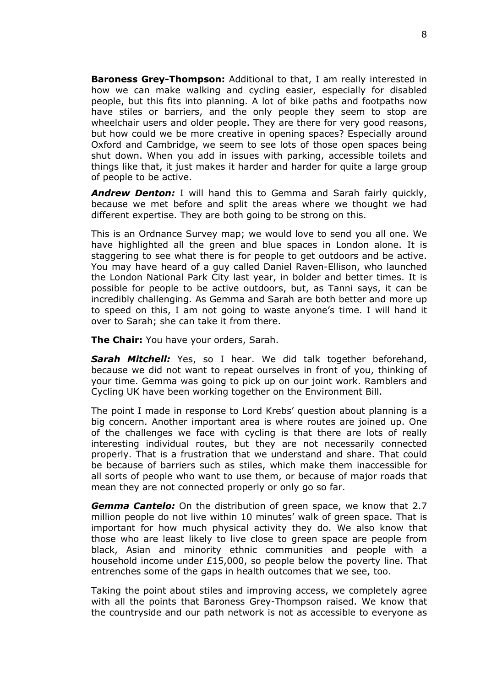**Baroness Grey-Thompson:** Additional to that, I am really interested in how we can make walking and cycling easier, especially for disabled people, but this fits into planning. A lot of bike paths and footpaths now have stiles or barriers, and the only people they seem to stop are wheelchair users and older people. They are there for very good reasons, but how could we be more creative in opening spaces? Especially around Oxford and Cambridge, we seem to see lots of those open spaces being shut down. When you add in issues with parking, accessible toilets and things like that, it just makes it harder and harder for quite a large group of people to be active.

*Andrew Denton:* I will hand this to Gemma and Sarah fairly quickly, because we met before and split the areas where we thought we had different expertise. They are both going to be strong on this.

This is an Ordnance Survey map; we would love to send you all one. We have highlighted all the green and blue spaces in London alone. It is staggering to see what there is for people to get outdoors and be active. You may have heard of a guy called Daniel Raven-Ellison, who launched the London National Park City last year, in bolder and better times. It is possible for people to be active outdoors, but, as Tanni says, it can be incredibly challenging. As Gemma and Sarah are both better and more up to speed on this, I am not going to waste anyone's time. I will hand it over to Sarah; she can take it from there.

**The Chair:** You have your orders, Sarah.

*Sarah Mitchell:* Yes, so I hear. We did talk together beforehand, because we did not want to repeat ourselves in front of you, thinking of your time. Gemma was going to pick up on our joint work. Ramblers and Cycling UK have been working together on the Environment Bill.

The point I made in response to Lord Krebs' question about planning is a big concern. Another important area is where routes are joined up. One of the challenges we face with cycling is that there are lots of really interesting individual routes, but they are not necessarily connected properly. That is a frustration that we understand and share. That could be because of barriers such as stiles, which make them inaccessible for all sorts of people who want to use them, or because of major roads that mean they are not connected properly or only go so far.

*Gemma Cantelo:* On the distribution of green space, we know that 2.7 million people do not live within 10 minutes' walk of green space. That is important for how much physical activity they do. We also know that those who are least likely to live close to green space are people from black, Asian and minority ethnic communities and people with a household income under £15,000, so people below the poverty line. That entrenches some of the gaps in health outcomes that we see, too.

Taking the point about stiles and improving access, we completely agree with all the points that Baroness Grey-Thompson raised. We know that the countryside and our path network is not as accessible to everyone as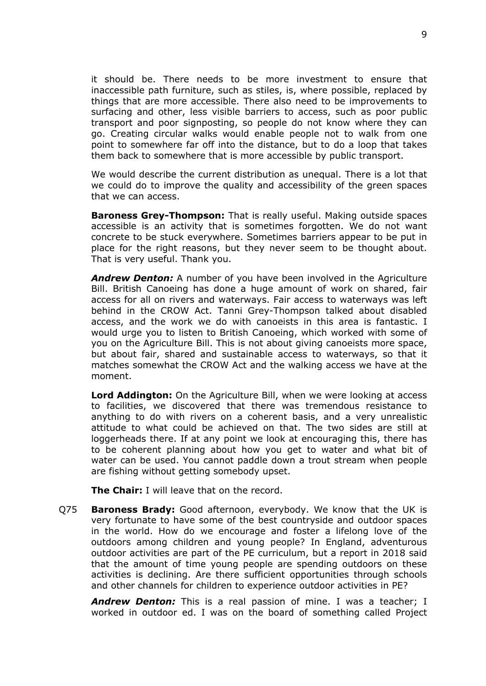it should be. There needs to be more investment to ensure that inaccessible path furniture, such as stiles, is, where possible, replaced by things that are more accessible. There also need to be improvements to surfacing and other, less visible barriers to access, such as poor public transport and poor signposting, so people do not know where they can go. Creating circular walks would enable people not to walk from one point to somewhere far off into the distance, but to do a loop that takes them back to somewhere that is more accessible by public transport.

We would describe the current distribution as unequal. There is a lot that we could do to improve the quality and accessibility of the green spaces that we can access.

**Baroness Grey-Thompson:** That is really useful. Making outside spaces accessible is an activity that is sometimes forgotten. We do not want concrete to be stuck everywhere. Sometimes barriers appear to be put in place for the right reasons, but they never seem to be thought about. That is very useful. Thank you.

*Andrew Denton:* A number of you have been involved in the Agriculture Bill. British Canoeing has done a huge amount of work on shared, fair access for all on rivers and waterways. Fair access to waterways was left behind in the CROW Act. Tanni Grey-Thompson talked about disabled access, and the work we do with canoeists in this area is fantastic. I would urge you to listen to British Canoeing, which worked with some of you on the Agriculture Bill. This is not about giving canoeists more space, but about fair, shared and sustainable access to waterways, so that it matches somewhat the CROW Act and the walking access we have at the moment.

**Lord Addington:** On the Agriculture Bill, when we were looking at access to facilities, we discovered that there was tremendous resistance to anything to do with rivers on a coherent basis, and a very unrealistic attitude to what could be achieved on that. The two sides are still at loggerheads there. If at any point we look at encouraging this, there has to be coherent planning about how you get to water and what bit of water can be used. You cannot paddle down a trout stream when people are fishing without getting somebody upset.

**The Chair:** I will leave that on the record.

Q75 **Baroness Brady:** Good afternoon, everybody. We know that the UK is very fortunate to have some of the best countryside and outdoor spaces in the world. How do we encourage and foster a lifelong love of the outdoors among children and young people? In England, adventurous outdoor activities are part of the PE curriculum, but a report in 2018 said that the amount of time young people are spending outdoors on these activities is declining. Are there sufficient opportunities through schools and other channels for children to experience outdoor activities in PE?

*Andrew Denton:* This is a real passion of mine. I was a teacher; I worked in outdoor ed. I was on the board of something called Project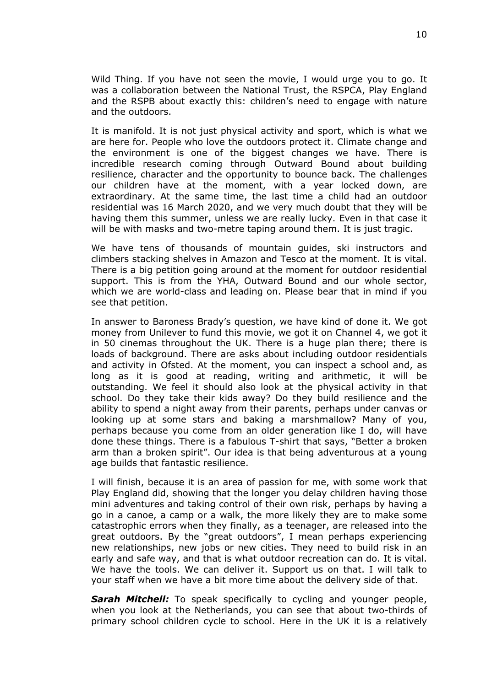Wild Thing. If you have not seen the movie, I would urge you to go. It was a collaboration between the National Trust, the RSPCA, Play England and the RSPB about exactly this: children's need to engage with nature and the outdoors.

It is manifold. It is not just physical activity and sport, which is what we are here for. People who love the outdoors protect it. Climate change and the environment is one of the biggest changes we have. There is incredible research coming through Outward Bound about building resilience, character and the opportunity to bounce back. The challenges our children have at the moment, with a year locked down, are extraordinary. At the same time, the last time a child had an outdoor residential was 16 March 2020, and we very much doubt that they will be having them this summer, unless we are really lucky. Even in that case it will be with masks and two-metre taping around them. It is just tragic.

We have tens of thousands of mountain guides, ski instructors and climbers stacking shelves in Amazon and Tesco at the moment. It is vital. There is a big petition going around at the moment for outdoor residential support. This is from the YHA, Outward Bound and our whole sector, which we are world-class and leading on. Please bear that in mind if you see that petition.

In answer to Baroness Brady's question, we have kind of done it. We got money from Unilever to fund this movie, we got it on Channel 4, we got it in 50 cinemas throughout the UK. There is a huge plan there; there is loads of background. There are asks about including outdoor residentials and activity in Ofsted. At the moment, you can inspect a school and, as long as it is good at reading, writing and arithmetic, it will be outstanding. We feel it should also look at the physical activity in that school. Do they take their kids away? Do they build resilience and the ability to spend a night away from their parents, perhaps under canvas or looking up at some stars and baking a marshmallow? Many of you, perhaps because you come from an older generation like I do, will have done these things. There is a fabulous T-shirt that says, "Better a broken arm than a broken spirit". Our idea is that being adventurous at a young age builds that fantastic resilience.

I will finish, because it is an area of passion for me, with some work that Play England did, showing that the longer you delay children having those mini adventures and taking control of their own risk, perhaps by having a go in a canoe, a camp or a walk, the more likely they are to make some catastrophic errors when they finally, as a teenager, are released into the great outdoors. By the "great outdoors", I mean perhaps experiencing new relationships, new jobs or new cities. They need to build risk in an early and safe way, and that is what outdoor recreation can do. It is vital. We have the tools. We can deliver it. Support us on that. I will talk to your staff when we have a bit more time about the delivery side of that.

*Sarah Mitchell:* To speak specifically to cycling and younger people, when you look at the Netherlands, you can see that about two-thirds of primary school children cycle to school. Here in the UK it is a relatively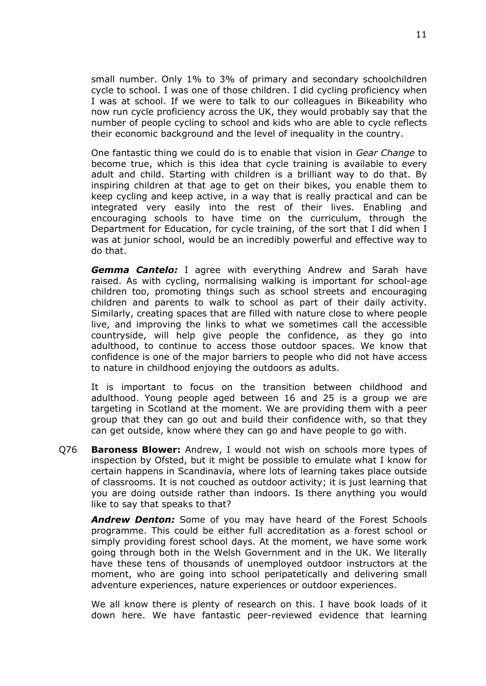small number. Only 1% to 3% of primary and secondary schoolchildren cycle to school. I was one of those children. I did cycling proficiency when I was at school. If we were to talk to our colleagues in Bikeability who now run cycle proficiency across the UK, they would probably say that the number of people cycling to school and kids who are able to cycle reflects their economic background and the level of inequality in the country.

One fantastic thing we could do is to enable that vision in *Gear Change* to become true, which is this idea that cycle training is available to every adult and child. Starting with children is a brilliant way to do that. By inspiring children at that age to get on their bikes, you enable them to keep cycling and keep active, in a way that is really practical and can be integrated very easily into the rest of their lives. Enabling and encouraging schools to have time on the curriculum, through the Department for Education, for cycle training, of the sort that I did when I was at junior school, would be an incredibly powerful and effective way to do that.

*Gemma Cantelo:* I agree with everything Andrew and Sarah have raised. As with cycling, normalising walking is important for school-age children too, promoting things such as school streets and encouraging children and parents to walk to school as part of their daily activity. Similarly, creating spaces that are filled with nature close to where people live, and improving the links to what we sometimes call the accessible countryside, will help give people the confidence, as they go into adulthood, to continue to access those outdoor spaces. We know that confidence is one of the major barriers to people who did not have access to nature in childhood enjoying the outdoors as adults.

It is important to focus on the transition between childhood and adulthood. Young people aged between 16 and 25 is a group we are targeting in Scotland at the moment. We are providing them with a peer group that they can go out and build their confidence with, so that they can get outside, know where they can go and have people to go with.

Q76 **Baroness Blower:** Andrew, I would not wish on schools more types of inspection by Ofsted, but it might be possible to emulate what I know for certain happens in Scandinavia, where lots of learning takes place outside of classrooms. It is not couched as outdoor activity; it is just learning that you are doing outside rather than indoors. Is there anything you would like to say that speaks to that?

*Andrew Denton:* Some of you may have heard of the Forest Schools programme. This could be either full accreditation as a forest school or simply providing forest school days. At the moment, we have some work going through both in the Welsh Government and in the UK. We literally have these tens of thousands of unemployed outdoor instructors at the moment, who are going into school peripatetically and delivering small adventure experiences, nature experiences or outdoor experiences.

We all know there is plenty of research on this. I have book loads of it down here. We have fantastic peer-reviewed evidence that learning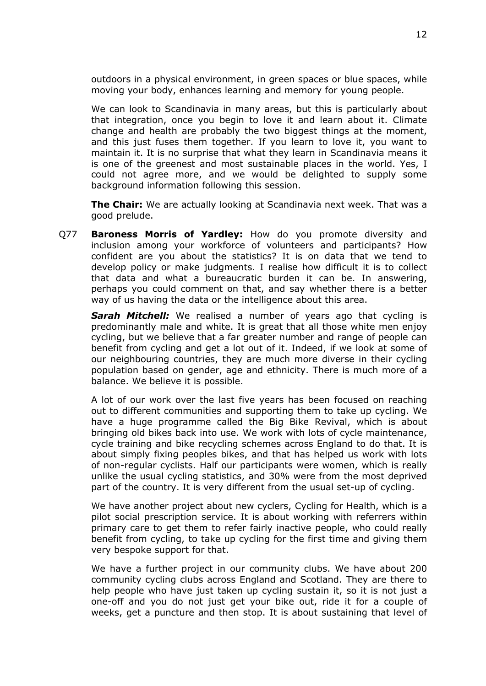outdoors in a physical environment, in green spaces or blue spaces, while moving your body, enhances learning and memory for young people.

We can look to Scandinavia in many areas, but this is particularly about that integration, once you begin to love it and learn about it. Climate change and health are probably the two biggest things at the moment, and this just fuses them together. If you learn to love it, you want to maintain it. It is no surprise that what they learn in Scandinavia means it is one of the greenest and most sustainable places in the world. Yes, I could not agree more, and we would be delighted to supply some background information following this session.

**The Chair:** We are actually looking at Scandinavia next week. That was a good prelude.

Q77 **Baroness Morris of Yardley:** How do you promote diversity and inclusion among your workforce of volunteers and participants? How confident are you about the statistics? It is on data that we tend to develop policy or make judgments. I realise how difficult it is to collect that data and what a bureaucratic burden it can be. In answering, perhaps you could comment on that, and say whether there is a better way of us having the data or the intelligence about this area.

**Sarah Mitchell:** We realised a number of years ago that cycling is predominantly male and white. It is great that all those white men enjoy cycling, but we believe that a far greater number and range of people can benefit from cycling and get a lot out of it. Indeed, if we look at some of our neighbouring countries, they are much more diverse in their cycling population based on gender, age and ethnicity. There is much more of a balance. We believe it is possible.

A lot of our work over the last five years has been focused on reaching out to different communities and supporting them to take up cycling. We have a huge programme called the Big Bike Revival, which is about bringing old bikes back into use. We work with lots of cycle maintenance, cycle training and bike recycling schemes across England to do that. It is about simply fixing peoples bikes, and that has helped us work with lots of non-regular cyclists. Half our participants were women, which is really unlike the usual cycling statistics, and 30% were from the most deprived part of the country. It is very different from the usual set-up of cycling.

We have another project about new cyclers, Cycling for Health, which is a pilot social prescription service. It is about working with referrers within primary care to get them to refer fairly inactive people, who could really benefit from cycling, to take up cycling for the first time and giving them very bespoke support for that.

We have a further project in our community clubs. We have about 200 community cycling clubs across England and Scotland. They are there to help people who have just taken up cycling sustain it, so it is not just a one-off and you do not just get your bike out, ride it for a couple of weeks, get a puncture and then stop. It is about sustaining that level of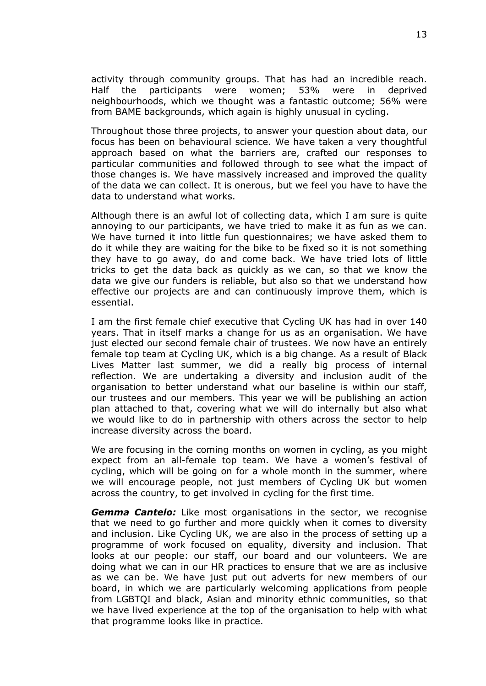activity through community groups. That has had an incredible reach. Half the participants were women; 53% were in deprived neighbourhoods, which we thought was a fantastic outcome; 56% were from BAME backgrounds, which again is highly unusual in cycling.

Throughout those three projects, to answer your question about data, our focus has been on behavioural science. We have taken a very thoughtful approach based on what the barriers are, crafted our responses to particular communities and followed through to see what the impact of those changes is. We have massively increased and improved the quality of the data we can collect. It is onerous, but we feel you have to have the data to understand what works.

Although there is an awful lot of collecting data, which I am sure is quite annoying to our participants, we have tried to make it as fun as we can. We have turned it into little fun questionnaires; we have asked them to do it while they are waiting for the bike to be fixed so it is not something they have to go away, do and come back. We have tried lots of little tricks to get the data back as quickly as we can, so that we know the data we give our funders is reliable, but also so that we understand how effective our projects are and can continuously improve them, which is essential.

I am the first female chief executive that Cycling UK has had in over 140 years. That in itself marks a change for us as an organisation. We have just elected our second female chair of trustees. We now have an entirely female top team at Cycling UK, which is a big change. As a result of Black Lives Matter last summer, we did a really big process of internal reflection. We are undertaking a diversity and inclusion audit of the organisation to better understand what our baseline is within our staff, our trustees and our members. This year we will be publishing an action plan attached to that, covering what we will do internally but also what we would like to do in partnership with others across the sector to help increase diversity across the board.

We are focusing in the coming months on women in cycling, as you might expect from an all-female top team. We have a women's festival of cycling, which will be going on for a whole month in the summer, where we will encourage people, not just members of Cycling UK but women across the country, to get involved in cycling for the first time.

*Gemma Cantelo:* Like most organisations in the sector, we recognise that we need to go further and more quickly when it comes to diversity and inclusion. Like Cycling UK, we are also in the process of setting up a programme of work focused on equality, diversity and inclusion. That looks at our people: our staff, our board and our volunteers. We are doing what we can in our HR practices to ensure that we are as inclusive as we can be. We have just put out adverts for new members of our board, in which we are particularly welcoming applications from people from LGBTQI and black, Asian and minority ethnic communities, so that we have lived experience at the top of the organisation to help with what that programme looks like in practice.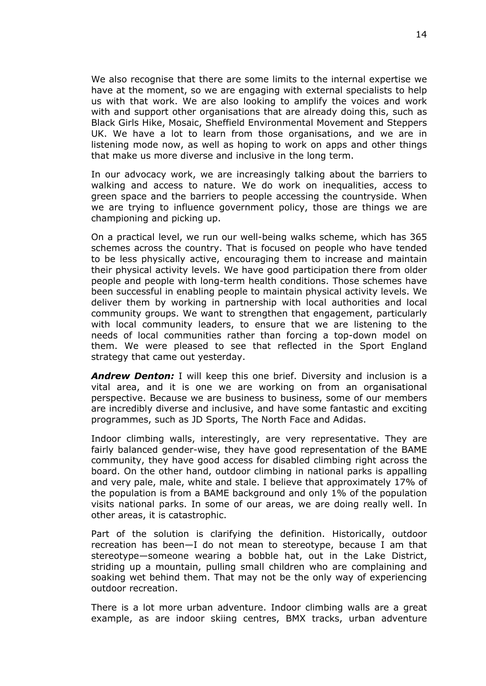We also recognise that there are some limits to the internal expertise we have at the moment, so we are engaging with external specialists to help us with that work. We are also looking to amplify the voices and work with and support other organisations that are already doing this, such as Black Girls Hike, Mosaic, Sheffield Environmental Movement and Steppers UK. We have a lot to learn from those organisations, and we are in listening mode now, as well as hoping to work on apps and other things that make us more diverse and inclusive in the long term.

In our advocacy work, we are increasingly talking about the barriers to walking and access to nature. We do work on inequalities, access to green space and the barriers to people accessing the countryside. When we are trying to influence government policy, those are things we are championing and picking up.

On a practical level, we run our well-being walks scheme, which has 365 schemes across the country. That is focused on people who have tended to be less physically active, encouraging them to increase and maintain their physical activity levels. We have good participation there from older people and people with long-term health conditions. Those schemes have been successful in enabling people to maintain physical activity levels. We deliver them by working in partnership with local authorities and local community groups. We want to strengthen that engagement, particularly with local community leaders, to ensure that we are listening to the needs of local communities rather than forcing a top-down model on them. We were pleased to see that reflected in the Sport England strategy that came out yesterday.

*Andrew Denton:* I will keep this one brief. Diversity and inclusion is a vital area, and it is one we are working on from an organisational perspective. Because we are business to business, some of our members are incredibly diverse and inclusive, and have some fantastic and exciting programmes, such as JD Sports, The North Face and Adidas.

Indoor climbing walls, interestingly, are very representative. They are fairly balanced gender-wise, they have good representation of the BAME community, they have good access for disabled climbing right across the board. On the other hand, outdoor climbing in national parks is appalling and very pale, male, white and stale. I believe that approximately 17% of the population is from a BAME background and only 1% of the population visits national parks. In some of our areas, we are doing really well. In other areas, it is catastrophic.

Part of the solution is clarifying the definition. Historically, outdoor recreation has been—I do not mean to stereotype, because I am that stereotype—someone wearing a bobble hat, out in the Lake District, striding up a mountain, pulling small children who are complaining and soaking wet behind them. That may not be the only way of experiencing outdoor recreation.

There is a lot more urban adventure. Indoor climbing walls are a great example, as are indoor skiing centres, BMX tracks, urban adventure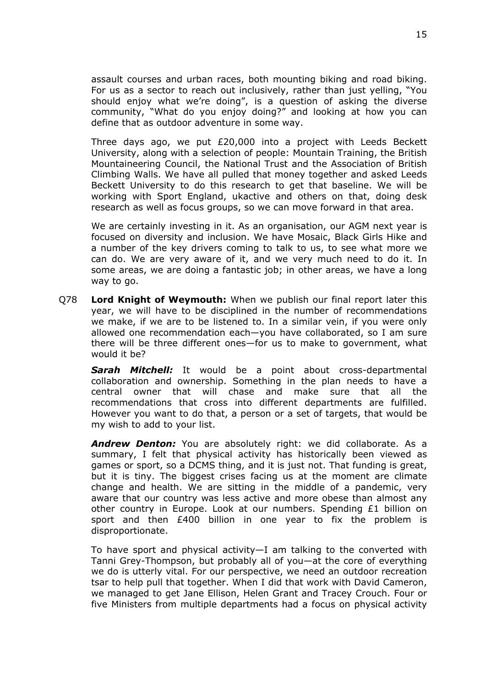assault courses and urban races, both mounting biking and road biking. For us as a sector to reach out inclusively, rather than just yelling, "You should enjoy what we're doing", is a question of asking the diverse community, "What do you enjoy doing?" and looking at how you can define that as outdoor adventure in some way.

Three days ago, we put £20,000 into a project with Leeds Beckett University, along with a selection of people: Mountain Training, the British Mountaineering Council, the National Trust and the Association of British Climbing Walls. We have all pulled that money together and asked Leeds Beckett University to do this research to get that baseline. We will be working with Sport England, ukactive and others on that, doing desk research as well as focus groups, so we can move forward in that area.

We are certainly investing in it. As an organisation, our AGM next year is focused on diversity and inclusion. We have Mosaic, Black Girls Hike and a number of the key drivers coming to talk to us, to see what more we can do. We are very aware of it, and we very much need to do it. In some areas, we are doing a fantastic job; in other areas, we have a long way to go.

Q78 **Lord Knight of Weymouth:** When we publish our final report later this year, we will have to be disciplined in the number of recommendations we make, if we are to be listened to. In a similar vein, if you were only allowed one recommendation each—you have collaborated, so I am sure there will be three different ones—for us to make to government, what would it be?

*Sarah Mitchell:* It would be a point about cross-departmental collaboration and ownership. Something in the plan needs to have a central owner that will chase and make sure that all the recommendations that cross into different departments are fulfilled. However you want to do that, a person or a set of targets, that would be my wish to add to your list.

*Andrew Denton:* You are absolutely right: we did collaborate. As a summary, I felt that physical activity has historically been viewed as games or sport, so a DCMS thing, and it is just not. That funding is great, but it is tiny. The biggest crises facing us at the moment are climate change and health. We are sitting in the middle of a pandemic, very aware that our country was less active and more obese than almost any other country in Europe. Look at our numbers. Spending £1 billion on sport and then £400 billion in one year to fix the problem is disproportionate.

To have sport and physical activity—I am talking to the converted with Tanni Grey-Thompson, but probably all of you—at the core of everything we do is utterly vital. For our perspective, we need an outdoor recreation tsar to help pull that together. When I did that work with David Cameron, we managed to get Jane Ellison, Helen Grant and Tracey Crouch. Four or five Ministers from multiple departments had a focus on physical activity